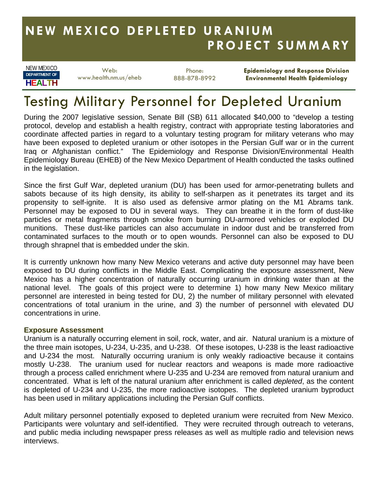## **NEW MEXICO DEPLETED URANIUM PROJECT SUMMARY**

NEW MEXICO **HEALTH DEPARTMENT OF**

Web: www.health.nm.us/eheb

Phone: 888-878-8992 **Epidemiology and Response Division Environmental Health Epidemiology** 

# Testing Military Personnel for Depleted Uranium

During the 2007 legislative session, Senate Bill (SB) 611 allocated \$40,000 to "develop a testing protocol, develop and establish a health registry, contract with appropriate testing laboratories and coordinate affected parties in regard to a voluntary testing program for military veterans who may have been exposed to depleted uranium or other isotopes in the Persian Gulf war or in the current Iraq or Afghanistan conflict." The Epidemiology and Response Division/Environmental Health Epidemiology Bureau (EHEB) of the New Mexico Department of Health conducted the tasks outlined in the legislation.

Since the first Gulf War, depleted uranium (DU) has been used for armor-penetrating bullets and sabots because of its high density, its ability to self-sharpen as it penetrates its target and its propensity to self-ignite. It is also used as defensive armor plating on the M1 Abrams tank. Personnel may be exposed to DU in several ways. They can breathe it in the form of dust-like particles or metal fragments through smoke from burning DU-armored vehicles or exploded DU munitions. These dust-like particles can also accumulate in indoor dust and be transferred from contaminated surfaces to the mouth or to open wounds. Personnel can also be exposed to DU through shrapnel that is embedded under the skin.

It is currently unknown how many New Mexico veterans and active duty personnel may have been exposed to DU during conflicts in the Middle East. Complicating the exposure assessment, New Mexico has a higher concentration of naturally occurring uranium in drinking water than at the national level. The goals of this project were to determine 1) how many New Mexico military personnel are interested in being tested for DU, 2) the number of military personnel with elevated concentrations of total uranium in the urine, and 3) the number of personnel with elevated DU concentrations in urine.

#### **Exposure Assessment**

Uranium is a naturally occurring element in soil, rock, water, and air. Natural uranium is a mixture of the three main isotopes, U-234, U-235, and U-238. Of these isotopes, U-238 is the least radioactive and U-234 the most. Naturally occurring uranium is only weakly radioactive because it contains mostly U-238. The uranium used for nuclear reactors and weapons is made more radioactive through a process called enrichment where U-235 and U-234 are removed from natural uranium and concentrated. What is left of the natural uranium after enrichment is called *depleted*, as the content is depleted of U-234 and U-235, the more radioactive isotopes. The depleted uranium byproduct has been used in military applications including the Persian Gulf conflicts.

Adult military personnel potentially exposed to depleted uranium were recruited from New Mexico. Participants were voluntary and self-identified. They were recruited through outreach to veterans, and public media including newspaper press releases as well as multiple radio and television news interviews.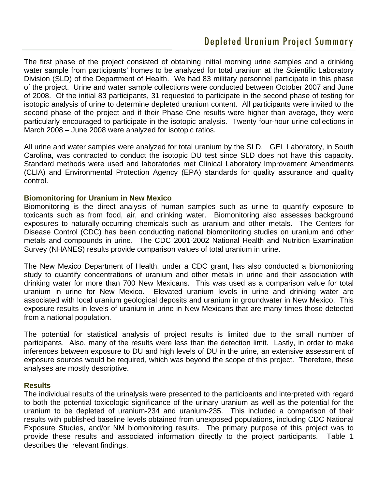### Depleted Uranium Project Summary

The first phase of the project consisted of obtaining initial morning urine samples and a drinking water sample from participants' homes to be analyzed for total uranium at the Scientific Laboratory Division (SLD) of the Department of Health. We had 83 military personnel participate in this phase of the project. Urine and water sample collections were conducted between October 2007 and June of 2008. Of the initial 83 participants, 31 requested to participate in the second phase of testing for isotopic analysis of urine to determine depleted uranium content. All participants were invited to the second phase of the project and if their Phase One results were higher than average, they were particularly encouraged to participate in the isotopic analysis. Twenty four-hour urine collections in March 2008 – June 2008 were analyzed for isotopic ratios.

All urine and water samples were analyzed for total uranium by the SLD. GEL Laboratory, in South Carolina, was contracted to conduct the isotopic DU test since SLD does not have this capacity. Standard methods were used and laboratories met Clinical Laboratory Improvement Amendments (CLIA) and Environmental Protection Agency (EPA) standards for quality assurance and quality control.

#### **Biomonitoring for Uranium in New Mexico**

Biomonitoring is the direct analysis of human samples such as urine to quantify exposure to toxicants such as from food, air, and drinking water. Biomonitoring also assesses background exposures to naturally-occurring chemicals such as uranium and other metals. The Centers for Disease Control (CDC) has been conducting national biomonitoring studies on uranium and other metals and compounds in urine. The CDC 2001-2002 National Health and Nutrition Examination Survey (NHANES) results provide comparison values of total uranium in urine.

The New Mexico Department of Health, under a CDC grant, has also conducted a biomonitoring study to quantify concentrations of uranium and other metals in urine and their association with drinking water for more than 700 New Mexicans. This was used as a comparison value for total uranium in urine for New Mexico. Elevated uranium levels in urine and drinking water are associated with local uranium geological deposits and uranium in groundwater in New Mexico. This exposure results in levels of uranium in urine in New Mexicans that are many times those detected from a national population.

The potential for statistical analysis of project results is limited due to the small number of participants. Also, many of the results were less than the detection limit. Lastly, in order to make inferences between exposure to DU and high levels of DU in the urine, an extensive assessment of exposure sources would be required, which was beyond the scope of this project. Therefore, these analyses are mostly descriptive.

#### **Results**

The individual results of the urinalysis were presented to the participants and interpreted with regard to both the potential toxicologic significance of the urinary uranium as well as the potential for the uranium to be depleted of uranium-234 and uranium-235. This included a comparison of their results with published baseline levels obtained from unexposed populations, including CDC National Exposure Studies, and/or NM biomonitoring results. The primary purpose of this project was to provide these results and associated information directly to the project participants. Table 1 describes the relevant findings.